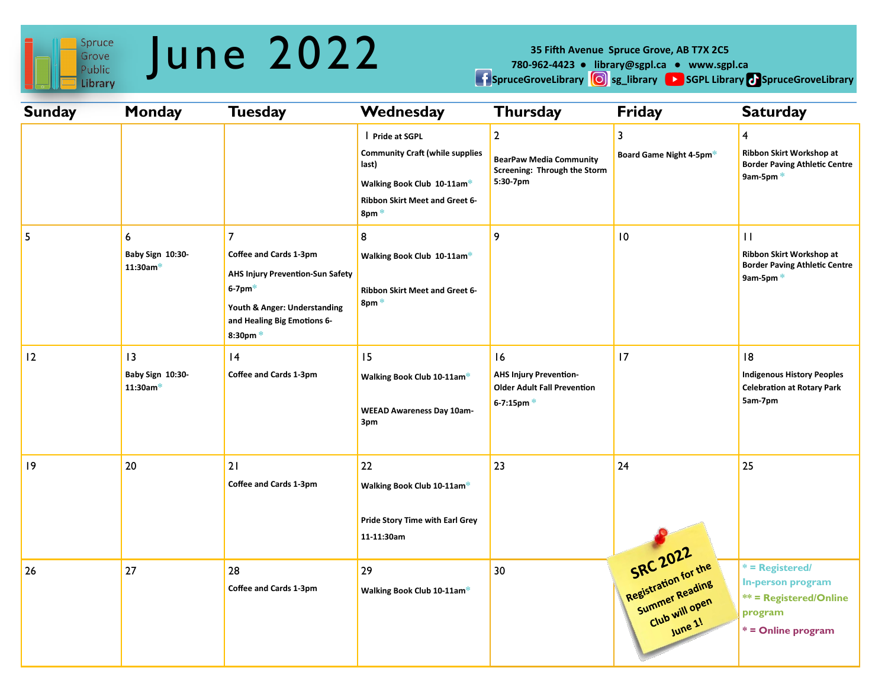

# June 2022

**35 Fifth Avenue Spruce Grove, AB T7X 2C5** 

**780-962-4423 ● library@sgpl.ca ● www.sgpl.ca** 

**Expresses SpruceGroveLibrary CO** sg\_library CO SGPL Library CO SpruceGroveLibrary

| <b>Sunday</b> | <b>Monday</b>                        | <b>Tuesday</b>                                                                                                                                                                           | Wednesday                                                                                                                                                      | <b>Thursday</b>                                                                              | <b>Friday</b>                                                                   | <b>Saturday</b>                                                                                          |
|---------------|--------------------------------------|------------------------------------------------------------------------------------------------------------------------------------------------------------------------------------------|----------------------------------------------------------------------------------------------------------------------------------------------------------------|----------------------------------------------------------------------------------------------|---------------------------------------------------------------------------------|----------------------------------------------------------------------------------------------------------|
|               |                                      |                                                                                                                                                                                          | Pride at SGPL<br><b>Community Craft (while supplies</b><br>last)<br>Walking Book Club 10-11am*<br>Ribbon Skirt Meet and Greet 6-<br>$8 \text{pm}$ <sup>*</sup> | $\overline{2}$<br><b>BearPaw Media Community</b><br>Screening: Through the Storm<br>5:30-7pm | 3<br>Board Game Night 4-5pm*                                                    | $\overline{4}$<br>Ribbon Skirt Workshop at<br><b>Border Paving Athletic Centre</b><br>9am-5pm $*$        |
| 5             | 6<br>Baby Sign 10:30-<br>$11:30$ am* | $\overline{7}$<br>Coffee and Cards 1-3pm<br><b>AHS Injury Prevention-Sun Safety</b><br>$6-7$ pm $*$<br>Youth & Anger: Understanding<br>and Healing Big Emotions 6-<br>$8:30 \text{pm}$ * | 8<br>Walking Book Club 10-11am*<br>Ribbon Skirt Meet and Greet 6-<br>8pm <sup>*</sup>                                                                          | 9                                                                                            | 10                                                                              | $\mathbf{H}$<br>Ribbon Skirt Workshop at<br><b>Border Paving Athletic Centre</b><br>9am-5pm*             |
| 12            | 3<br>Baby Sign 10:30-<br>$11:30$ am* | 4<br>Coffee and Cards 1-3pm                                                                                                                                                              | 15<br>Walking Book Club 10-11am*<br><b>WEEAD Awareness Day 10am-</b><br>3pm                                                                                    | 16<br><b>AHS Injury Prevention-</b><br><b>Older Adult Fall Prevention</b><br>6-7:15pm $*$    | 17                                                                              | 8<br><b>Indigenous History Peoples</b><br><b>Celebration at Rotary Park</b><br>5am-7pm                   |
| 9             | 20                                   | 21<br>Coffee and Cards 1-3pm                                                                                                                                                             | 22<br>Walking Book Club 10-11am*<br>Pride Story Time with Earl Grey<br>11-11:30am                                                                              | 23                                                                                           | 24                                                                              | 25                                                                                                       |
| 26            | 27                                   | 28<br>Coffee and Cards 1-3pm                                                                                                                                                             | 29<br>Walking Book Club 10-11am*                                                                                                                               | 30                                                                                           | SRC 2022<br>Registration for the<br>Summer Reading<br>Club will open<br>June 1! | $*$ = Registered/<br>In-person program<br><b>** = Registered/Online</b><br>program<br>* = Online program |